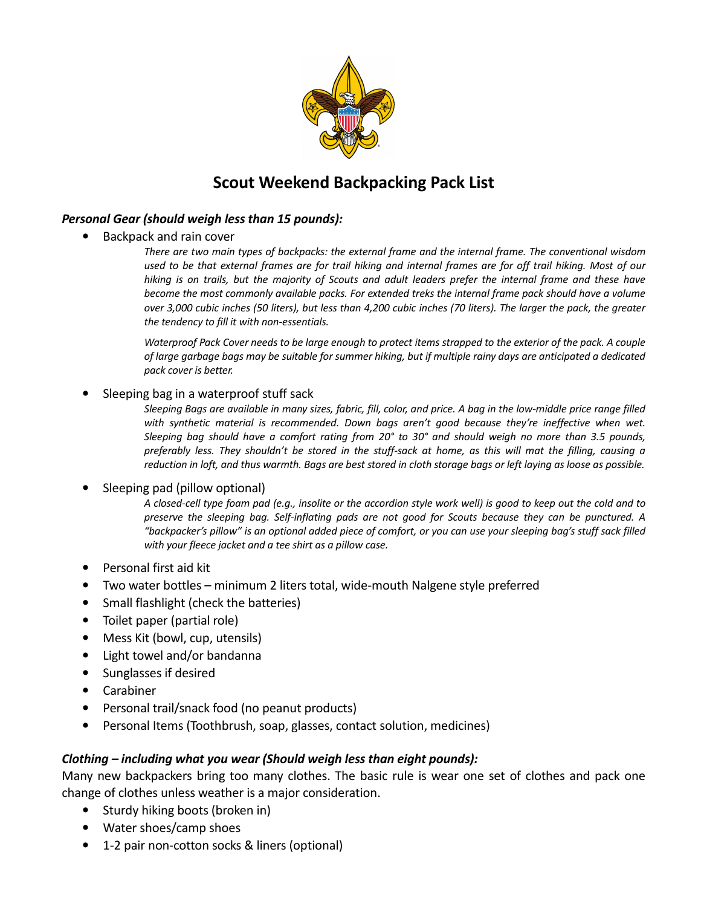

# **Scout Weekend Backpacking Pack List**

## *Personal Gear (should weigh less than 15 pounds):*

- Backpack and rain cover
	- *There are two main types of backpacks: the external frame and the internal frame. The conventional wisdom used to be that external frames are for trail hiking and internal frames are for off trail hiking. Most of our hiking is on trails, but the majority of Scouts and adult leaders prefer the internal frame and these have become the most commonly available packs. For extended treks the internal frame pack should have a volume over 3,000 cubic inches (50 liters), but less than 4,200 cubic inches (70 liters). The larger the pack, the greater the tendency to fill it with non-essentials.*

*Waterproof Pack Cover needs to be large enough to protect items strapped to the exterior of the pack. A couple of large garbage bags may be suitable for summer hiking, but if multiple rainy days are anticipated a dedicated pack cover is better.*

• Sleeping bag in a waterproof stuff sack

*Sleeping Bags are available in many sizes, fabric, fill, color, and price. A bag in the low-middle price range filled with synthetic material is recommended. Down bags aren't good because they're ineffective when wet. Sleeping bag should have a comfort rating from 20° to 30° and should weigh no more than 3.5 pounds, preferably less. They shouldn't be stored in the stuff-sack at home, as this will mat the filling, causing a reduction in loft, and thus warmth. Bags are best stored in cloth storage bags or left laying as loose as possible.* 

### • Sleeping pad (pillow optional)

*A closed-cell type foam pad (e.g., insolite or the accordion style work well) is good to keep out the cold and to preserve the sleeping bag. Self-inflating pads are not good for Scouts because they can be punctured. A "backpacker's pillow" is an optional added piece of comfort, or you can use your sleeping bag's stuff sack filled with your fleece jacket and a tee shirt as a pillow case.* 

- Personal first aid kit
- Two water bottles minimum 2 liters total, wide-mouth Nalgene style preferred
- Small flashlight (check the batteries)
- Toilet paper (partial role)
- Mess Kit (bowl, cup, utensils)
- Light towel and/or bandanna
- Sunglasses if desired
- Carabiner
- Personal trail/snack food (no peanut products)
- Personal Items (Toothbrush, soap, glasses, contact solution, medicines)

### *Clothing – including what you wear (Should weigh less than eight pounds):*

Many new backpackers bring too many clothes. The basic rule is wear one set of clothes and pack one change of clothes unless weather is a major consideration.

- Sturdy hiking boots (broken in)
- Water shoes/camp shoes
- 1-2 pair non-cotton socks & liners (optional)